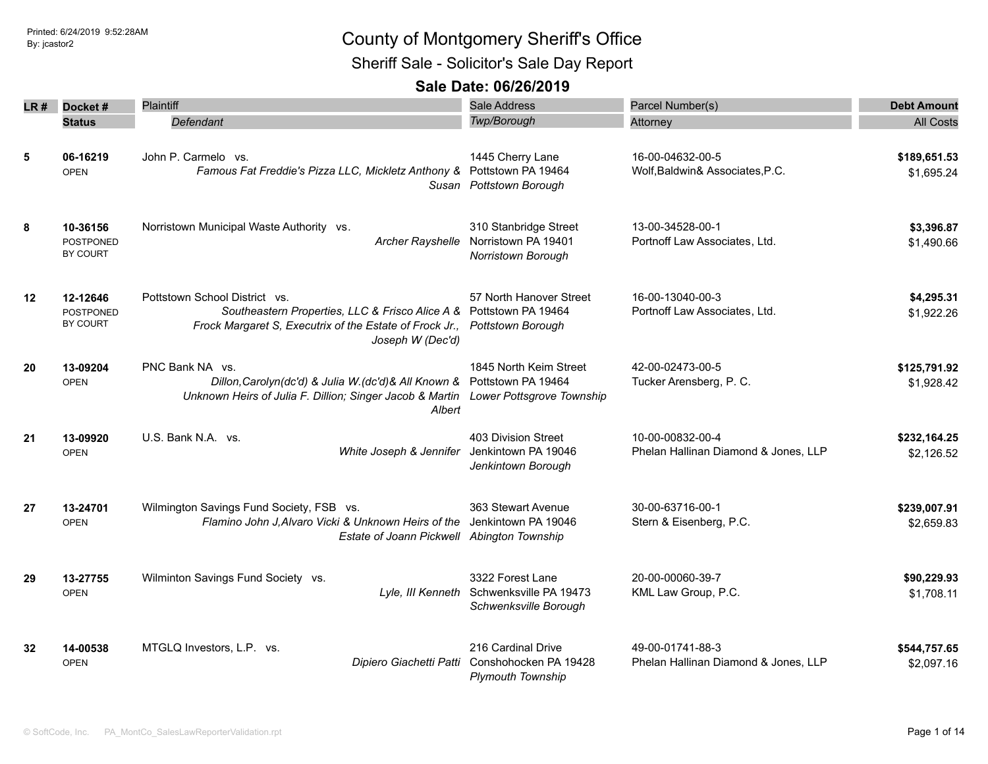Sheriff Sale - Solicitor's Sale Day Report

|         |                                          | Plaintiff                                                                                                                                                                          | Sale Address                                                                        | Parcel Number(s)                                         |                            |
|---------|------------------------------------------|------------------------------------------------------------------------------------------------------------------------------------------------------------------------------------|-------------------------------------------------------------------------------------|----------------------------------------------------------|----------------------------|
| LR #    | Docket#                                  |                                                                                                                                                                                    | Twp/Borough                                                                         |                                                          | <b>Debt Amount</b>         |
|         | <b>Status</b>                            | Defendant                                                                                                                                                                          |                                                                                     | Attorney                                                 | <b>All Costs</b>           |
| 5       | 06-16219<br><b>OPEN</b>                  | John P. Carmelo vs.<br>Famous Fat Freddie's Pizza LLC, Mickletz Anthony &                                                                                                          | 1445 Cherry Lane<br>Pottstown PA 19464<br>Susan Pottstown Borough                   | 16-00-04632-00-5<br>Wolf, Baldwin& Associates, P.C.      | \$189,651.53<br>\$1,695.24 |
| 8       | 10-36156<br><b>POSTPONED</b><br>BY COURT | Norristown Municipal Waste Authority vs.                                                                                                                                           | 310 Stanbridge Street<br>Archer Rayshelle Norristown PA 19401<br>Norristown Borough | 13-00-34528-00-1<br>Portnoff Law Associates, Ltd.        | \$3,396.87<br>\$1,490.66   |
| $12 \,$ | 12-12646<br><b>POSTPONED</b><br>BY COURT | Pottstown School District vs.<br>Southeastern Properties, LLC & Frisco Alice A & Pottstown PA 19464<br>Frock Margaret S, Executrix of the Estate of Frock Jr.,<br>Joseph W (Dec'd) | 57 North Hanover Street<br><b>Pottstown Borough</b>                                 | 16-00-13040-00-3<br>Portnoff Law Associates, Ltd.        | \$4,295.31<br>\$1,922.26   |
| 20      | 13-09204<br><b>OPEN</b>                  | PNC Bank NA vs.<br>Dillon, Carolyn(dc'd) & Julia W.(dc'd) & All Known &<br>Unknown Heirs of Julia F. Dillion; Singer Jacob & Martin<br>Albert                                      | 1845 North Keim Street<br>Pottstown PA 19464<br>Lower Pottsgrove Township           | 42-00-02473-00-5<br>Tucker Arensberg, P. C.              | \$125,791.92<br>\$1,928.42 |
| 21      | 13-09920<br><b>OPEN</b>                  | U.S. Bank N.A. vs.<br>White Joseph & Jennifer                                                                                                                                      | 403 Division Street<br>Jenkintown PA 19046<br>Jenkintown Borough                    | 10-00-00832-00-4<br>Phelan Hallinan Diamond & Jones, LLP | \$232,164.25<br>\$2,126.52 |
| 27      | 13-24701<br><b>OPEN</b>                  | Wilmington Savings Fund Society, FSB vs.<br>Flamino John J, Alvaro Vicki & Unknown Heirs of the<br>Estate of Joann Pickwell Abington Township                                      | 363 Stewart Avenue<br>Jenkintown PA 19046                                           | 30-00-63716-00-1<br>Stern & Eisenberg, P.C.              | \$239,007.91<br>\$2,659.83 |
| 29      | 13-27755<br><b>OPEN</b>                  | Wilminton Savings Fund Society vs.<br>Lyle, III Kenneth                                                                                                                            | 3322 Forest Lane<br>Schwenksville PA 19473<br>Schwenksville Borough                 | 20-00-00060-39-7<br>KML Law Group, P.C.                  | \$90,229.93<br>\$1,708.11  |
| 32      | 14-00538<br><b>OPEN</b>                  | MTGLQ Investors, L.P. vs.<br>Dipiero Giachetti Patti                                                                                                                               | 216 Cardinal Drive<br>Conshohocken PA 19428<br><b>Plymouth Township</b>             | 49-00-01741-88-3<br>Phelan Hallinan Diamond & Jones, LLP | \$544,757.65<br>\$2,097.16 |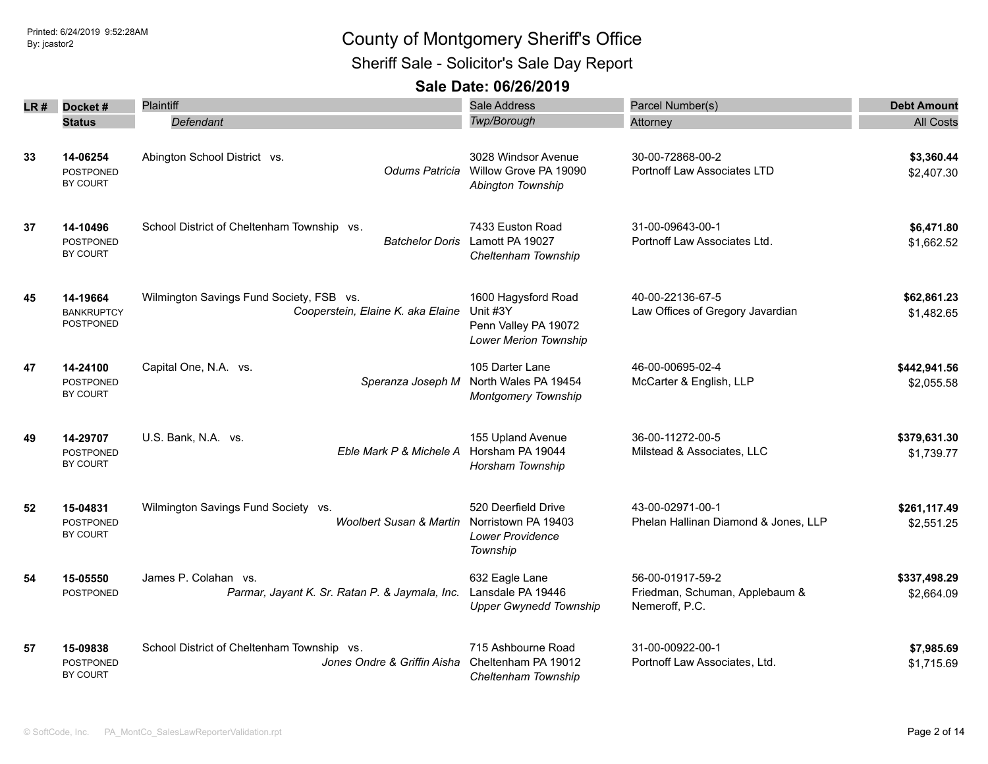Sheriff Sale - Solicitor's Sale Day Report

| LR # | Docket#                                    | <b>Plaintiff</b>                                                              | Sale Address                                                                            | Parcel Number(s)                                                     | <b>Debt Amount</b>         |
|------|--------------------------------------------|-------------------------------------------------------------------------------|-----------------------------------------------------------------------------------------|----------------------------------------------------------------------|----------------------------|
|      | <b>Status</b>                              | Defendant                                                                     | Twp/Borough                                                                             | Attorney                                                             | <b>All Costs</b>           |
| 33   | 14-06254<br>POSTPONED<br>BY COURT          | Abington School District vs.<br>Odums Patricia                                | 3028 Windsor Avenue<br>Willow Grove PA 19090<br>Abington Township                       | 30-00-72868-00-2<br>Portnoff Law Associates LTD                      | \$3,360.44<br>\$2,407.30   |
| 37   | 14-10496<br><b>POSTPONED</b><br>BY COURT   | School District of Cheltenham Township vs.                                    | 7433 Euston Road<br>Batchelor Doris Lamott PA 19027<br>Cheltenham Township              | 31-00-09643-00-1<br>Portnoff Law Associates Ltd.                     | \$6,471.80<br>\$1,662.52   |
| 45   | 14-19664<br><b>BANKRUPTCY</b><br>POSTPONED | Wilmington Savings Fund Society, FSB vs.<br>Cooperstein, Elaine K. aka Elaine | 1600 Hagysford Road<br>Unit #3Y<br>Penn Valley PA 19072<br><b>Lower Merion Township</b> | 40-00-22136-67-5<br>Law Offices of Gregory Javardian                 | \$62,861.23<br>\$1,482.65  |
| 47   | 14-24100<br><b>POSTPONED</b><br>BY COURT   | Capital One, N.A. vs.<br>Speranza Joseph M                                    | 105 Darter Lane<br>North Wales PA 19454<br><b>Montgomery Township</b>                   | 46-00-00695-02-4<br>McCarter & English, LLP                          | \$442,941.56<br>\$2,055.58 |
| 49   | 14-29707<br><b>POSTPONED</b><br>BY COURT   | U.S. Bank, N.A. vs.<br>Eble Mark P & Michele A                                | 155 Upland Avenue<br>Horsham PA 19044<br>Horsham Township                               | 36-00-11272-00-5<br>Milstead & Associates, LLC                       | \$379,631.30<br>\$1,739.77 |
| 52   | 15-04831<br><b>POSTPONED</b><br>BY COURT   | Wilmington Savings Fund Society vs.<br><b>Woolbert Susan &amp; Martin</b>     | 520 Deerfield Drive<br>Norristown PA 19403<br><b>Lower Providence</b><br>Township       | 43-00-02971-00-1<br>Phelan Hallinan Diamond & Jones, LLP             | \$261,117.49<br>\$2,551.25 |
| 54   | 15-05550<br>POSTPONED                      | James P. Colahan vs.<br>Parmar, Jayant K. Sr. Ratan P. & Jaymala, Inc.        | 632 Eagle Lane<br>Lansdale PA 19446<br><b>Upper Gwynedd Township</b>                    | 56-00-01917-59-2<br>Friedman, Schuman, Applebaum &<br>Nemeroff, P.C. | \$337,498.29<br>\$2,664.09 |
| 57   | 15-09838<br>POSTPONED<br>BY COURT          | School District of Cheltenham Township vs.<br>Jones Ondre & Griffin Aisha     | 715 Ashbourne Road<br>Cheltenham PA 19012<br>Cheltenham Township                        | 31-00-00922-00-1<br>Portnoff Law Associates, Ltd.                    | \$7,985.69<br>\$1,715.69   |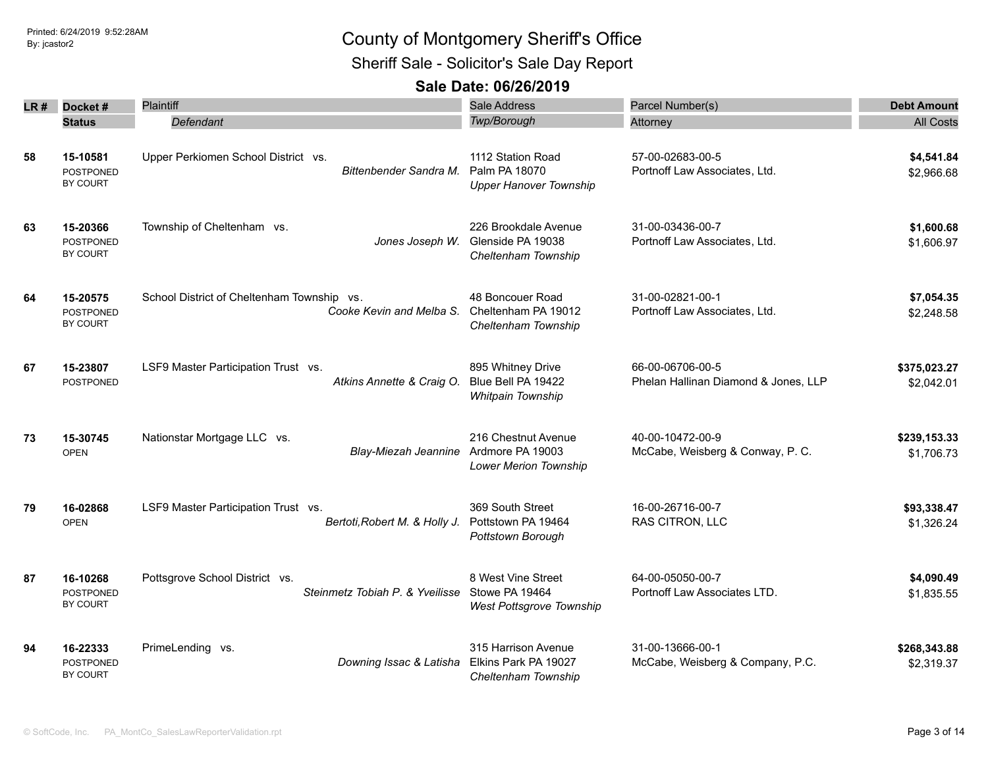Sheriff Sale - Solicitor's Sale Day Report

| LR # | Docket#                                         | Plaintiff                                                              | <b>Sale Address</b>                                                     | Parcel Number(s)                                         | <b>Debt Amount</b>         |
|------|-------------------------------------------------|------------------------------------------------------------------------|-------------------------------------------------------------------------|----------------------------------------------------------|----------------------------|
|      | <b>Status</b>                                   | Defendant                                                              | Twp/Borough                                                             | Attorney                                                 | <b>All Costs</b>           |
| 58   | 15-10581<br><b>POSTPONED</b><br>BY COURT        | Upper Perkiomen School District vs.<br>Bittenbender Sandra M.          | 1112 Station Road<br>Palm PA 18070<br><b>Upper Hanover Township</b>     | 57-00-02683-00-5<br>Portnoff Law Associates, Ltd.        | \$4,541.84<br>\$2,966.68   |
| 63   | 15-20366<br><b>POSTPONED</b><br>BY COURT        | Township of Cheltenham vs.<br>Jones Joseph W.                          | 226 Brookdale Avenue<br>Glenside PA 19038<br>Cheltenham Township        | 31-00-03436-00-7<br>Portnoff Law Associates, Ltd.        | \$1,600.68<br>\$1,606.97   |
| 64   | 15-20575<br><b>POSTPONED</b><br>BY COURT        | School District of Cheltenham Township vs.<br>Cooke Kevin and Melba S. | 48 Boncouer Road<br>Cheltenham PA 19012<br>Cheltenham Township          | 31-00-02821-00-1<br>Portnoff Law Associates, Ltd.        | \$7,054.35<br>\$2,248.58   |
| 67   | 15-23807<br><b>POSTPONED</b>                    | LSF9 Master Participation Trust vs.<br>Atkins Annette & Craig O.       | 895 Whitney Drive<br>Blue Bell PA 19422<br>Whitpain Township            | 66-00-06706-00-5<br>Phelan Hallinan Diamond & Jones, LLP | \$375,023.27<br>\$2,042.01 |
| 73   | 15-30745<br><b>OPEN</b>                         | Nationstar Mortgage LLC vs.<br>Blay-Miezah Jeannine                    | 216 Chestnut Avenue<br>Ardmore PA 19003<br><b>Lower Merion Township</b> | 40-00-10472-00-9<br>McCabe, Weisberg & Conway, P. C.     | \$239,153.33<br>\$1,706.73 |
| 79   | 16-02868<br><b>OPEN</b>                         | LSF9 Master Participation Trust vs.<br>Bertoti, Robert M. & Holly J.   | 369 South Street<br>Pottstown PA 19464<br>Pottstown Borough             | 16-00-26716-00-7<br>RAS CITRON, LLC                      | \$93,338.47<br>\$1,326.24  |
| 87   | 16-10268<br>POSTPONED<br>BY COURT               | Pottsgrove School District vs.<br>Steinmetz Tobiah P. & Yveilisse      | 8 West Vine Street<br>Stowe PA 19464<br>West Pottsgrove Township        | 64-00-05050-00-7<br>Portnoff Law Associates LTD.         | \$4,090.49<br>\$1,835.55   |
| 94   | 16-22333<br><b>POSTPONED</b><br><b>BY COURT</b> | PrimeLending vs.<br>Downing Issac & Latisha                            | 315 Harrison Avenue<br>Elkins Park PA 19027<br>Cheltenham Township      | 31-00-13666-00-1<br>McCabe, Weisberg & Company, P.C.     | \$268,343.88<br>\$2,319.37 |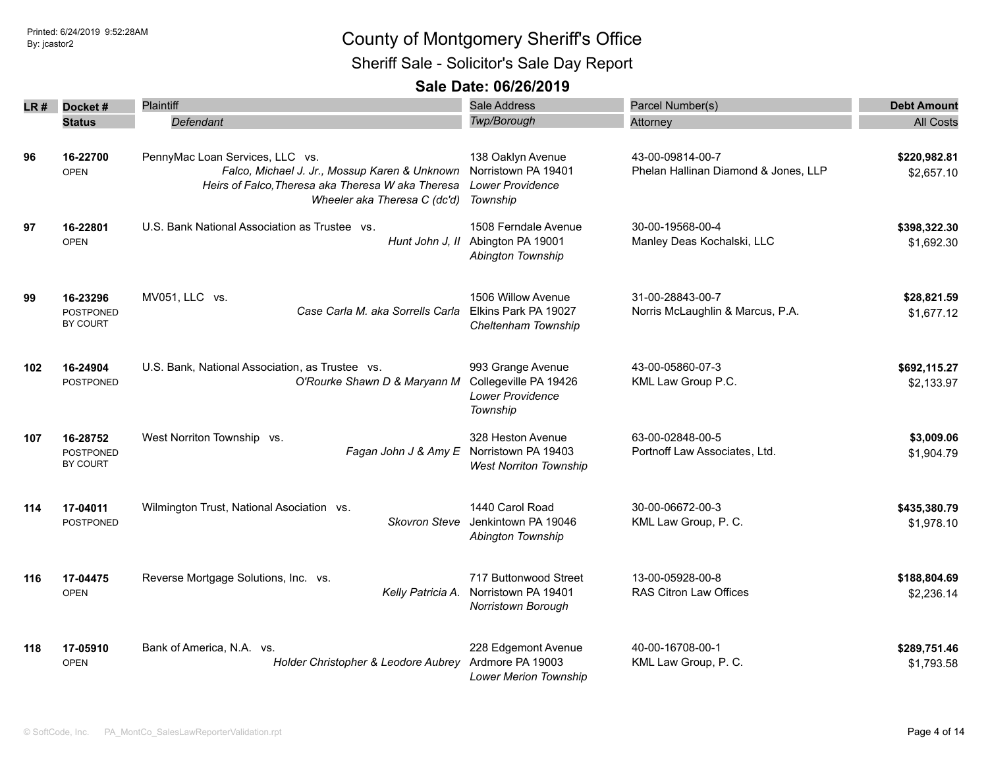Sheriff Sale - Solicitor's Sale Day Report

| LR # | Docket#                                  | <b>Plaintiff</b>                                                                                                                                                      | <b>Sale Address</b>                                                               | Parcel Number(s)                                         | <b>Debt Amount</b>         |
|------|------------------------------------------|-----------------------------------------------------------------------------------------------------------------------------------------------------------------------|-----------------------------------------------------------------------------------|----------------------------------------------------------|----------------------------|
|      | <b>Status</b>                            | <b>Defendant</b>                                                                                                                                                      | Twp/Borough                                                                       | Attorney                                                 | <b>All Costs</b>           |
| 96   | 16-22700<br><b>OPEN</b>                  | PennyMac Loan Services, LLC vs.<br>Falco, Michael J. Jr., Mossup Karen & Unknown<br>Heirs of Falco, Theresa aka Theresa W aka Theresa<br>Wheeler aka Theresa C (dc'd) | 138 Oaklyn Avenue<br>Norristown PA 19401<br><b>Lower Providence</b><br>Township   | 43-00-09814-00-7<br>Phelan Hallinan Diamond & Jones, LLP | \$220,982.81<br>\$2,657.10 |
| 97   | 16-22801<br><b>OPEN</b>                  | U.S. Bank National Association as Trustee vs.<br>Hunt John J. II                                                                                                      | 1508 Ferndale Avenue<br>Abington PA 19001<br>Abington Township                    | 30-00-19568-00-4<br>Manley Deas Kochalski, LLC           | \$398,322.30<br>\$1,692.30 |
| 99   | 16-23296<br><b>POSTPONED</b><br>BY COURT | MV051, LLC vs.<br>Case Carla M. aka Sorrells Carla                                                                                                                    | 1506 Willow Avenue<br>Elkins Park PA 19027<br>Cheltenham Township                 | 31-00-28843-00-7<br>Norris McLaughlin & Marcus, P.A.     | \$28,821.59<br>\$1,677.12  |
| 102  | 16-24904<br><b>POSTPONED</b>             | U.S. Bank, National Association, as Trustee vs.<br>O'Rourke Shawn D & Maryann M                                                                                       | 993 Grange Avenue<br>Collegeville PA 19426<br><b>Lower Providence</b><br>Township | 43-00-05860-07-3<br>KML Law Group P.C.                   | \$692,115.27<br>\$2,133.97 |
| 107  | 16-28752<br><b>POSTPONED</b><br>BY COURT | West Norriton Township vs.<br>Fagan John J & Amy E                                                                                                                    | 328 Heston Avenue<br>Norristown PA 19403<br><b>West Norriton Township</b>         | 63-00-02848-00-5<br>Portnoff Law Associates, Ltd.        | \$3,009.06<br>\$1,904.79   |
| 114  | 17-04011<br>POSTPONED                    | Wilmington Trust, National Asociation vs.<br>Skovron Steve                                                                                                            | 1440 Carol Road<br>Jenkintown PA 19046<br>Abington Township                       | 30-00-06672-00-3<br>KML Law Group, P. C.                 | \$435,380.79<br>\$1,978.10 |
| 116  | 17-04475<br><b>OPEN</b>                  | Reverse Mortgage Solutions, Inc. vs.<br>Kelly Patricia A.                                                                                                             | 717 Buttonwood Street<br>Norristown PA 19401<br>Norristown Borough                | 13-00-05928-00-8<br><b>RAS Citron Law Offices</b>        | \$188,804.69<br>\$2,236.14 |
| 118  | 17-05910<br><b>OPEN</b>                  | Bank of America, N.A. vs.<br>Holder Christopher & Leodore Aubrey                                                                                                      | 228 Edgemont Avenue<br>Ardmore PA 19003<br><b>Lower Merion Township</b>           | 40-00-16708-00-1<br>KML Law Group, P. C.                 | \$289,751.46<br>\$1,793.58 |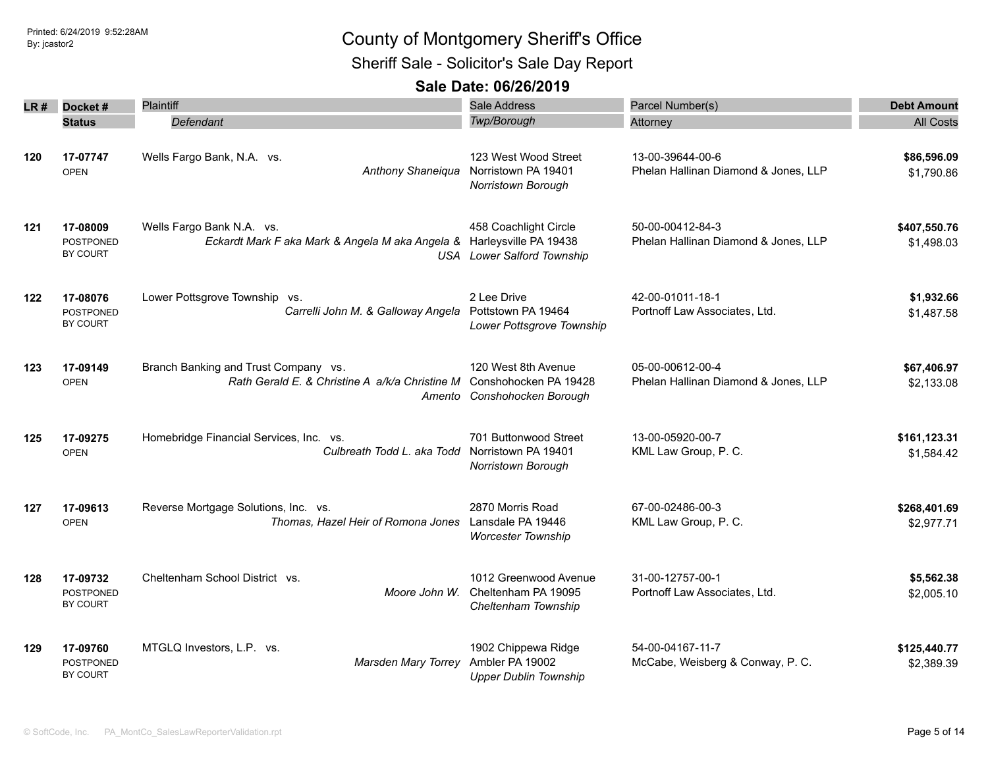Sheriff Sale - Solicitor's Sale Day Report

| LR # | Docket#                                  | <b>Plaintiff</b>                                                                                   | Sale Address                                                                | Parcel Number(s)                                         | <b>Debt Amount</b>         |
|------|------------------------------------------|----------------------------------------------------------------------------------------------------|-----------------------------------------------------------------------------|----------------------------------------------------------|----------------------------|
|      | <b>Status</b>                            | Defendant                                                                                          | Twp/Borough                                                                 | Attorney                                                 | <b>All Costs</b>           |
| 120  | 17-07747<br><b>OPEN</b>                  | Wells Fargo Bank, N.A. vs.<br>Anthony Shaneiqua                                                    | 123 West Wood Street<br>Norristown PA 19401<br>Norristown Borough           | 13-00-39644-00-6<br>Phelan Hallinan Diamond & Jones, LLP | \$86,596.09<br>\$1,790.86  |
| 121  | 17-08009<br><b>POSTPONED</b><br>BY COURT | Wells Fargo Bank N.A. vs.<br>Eckardt Mark F aka Mark & Angela M aka Angela & Harleysville PA 19438 | 458 Coachlight Circle<br><b>USA</b> Lower Salford Township                  | 50-00-00412-84-3<br>Phelan Hallinan Diamond & Jones, LLP | \$407,550.76<br>\$1,498.03 |
| 122  | 17-08076<br><b>POSTPONED</b><br>BY COURT | Lower Pottsgrove Township vs.<br>Carrelli John M. & Galloway Angela                                | 2 Lee Drive<br>Pottstown PA 19464<br>Lower Pottsgrove Township              | 42-00-01011-18-1<br>Portnoff Law Associates, Ltd.        | \$1,932.66<br>\$1,487.58   |
| 123  | 17-09149<br><b>OPEN</b>                  | Branch Banking and Trust Company vs.<br>Rath Gerald E. & Christine A a/k/a Christine M             | 120 West 8th Avenue<br>Conshohocken PA 19428<br>Amento Conshohocken Borough | 05-00-00612-00-4<br>Phelan Hallinan Diamond & Jones, LLP | \$67,406.97<br>\$2,133.08  |
| 125  | 17-09275<br><b>OPEN</b>                  | Homebridge Financial Services, Inc. vs.<br>Culbreath Todd L. aka Todd Norristown PA 19401          | 701 Buttonwood Street<br>Norristown Borough                                 | 13-00-05920-00-7<br>KML Law Group, P. C.                 | \$161,123.31<br>\$1,584.42 |
| 127  | 17-09613<br><b>OPEN</b>                  | Reverse Mortgage Solutions, Inc. vs.<br>Thomas, Hazel Heir of Romona Jones                         | 2870 Morris Road<br>Lansdale PA 19446<br><b>Worcester Township</b>          | 67-00-02486-00-3<br>KML Law Group, P. C.                 | \$268,401.69<br>\$2,977.71 |
| 128  | 17-09732<br><b>POSTPONED</b><br>BY COURT | Cheltenham School District vs.<br>Moore John W.                                                    | 1012 Greenwood Avenue<br>Cheltenham PA 19095<br>Cheltenham Township         | 31-00-12757-00-1<br>Portnoff Law Associates, Ltd.        | \$5,562.38<br>\$2,005.10   |
| 129  | 17-09760<br><b>POSTPONED</b><br>BY COURT | MTGLQ Investors, L.P. vs.<br><b>Marsden Mary Torrey</b>                                            | 1902 Chippewa Ridge<br>Ambler PA 19002<br><b>Upper Dublin Township</b>      | 54-00-04167-11-7<br>McCabe, Weisberg & Conway, P. C.     | \$125,440.77<br>\$2,389.39 |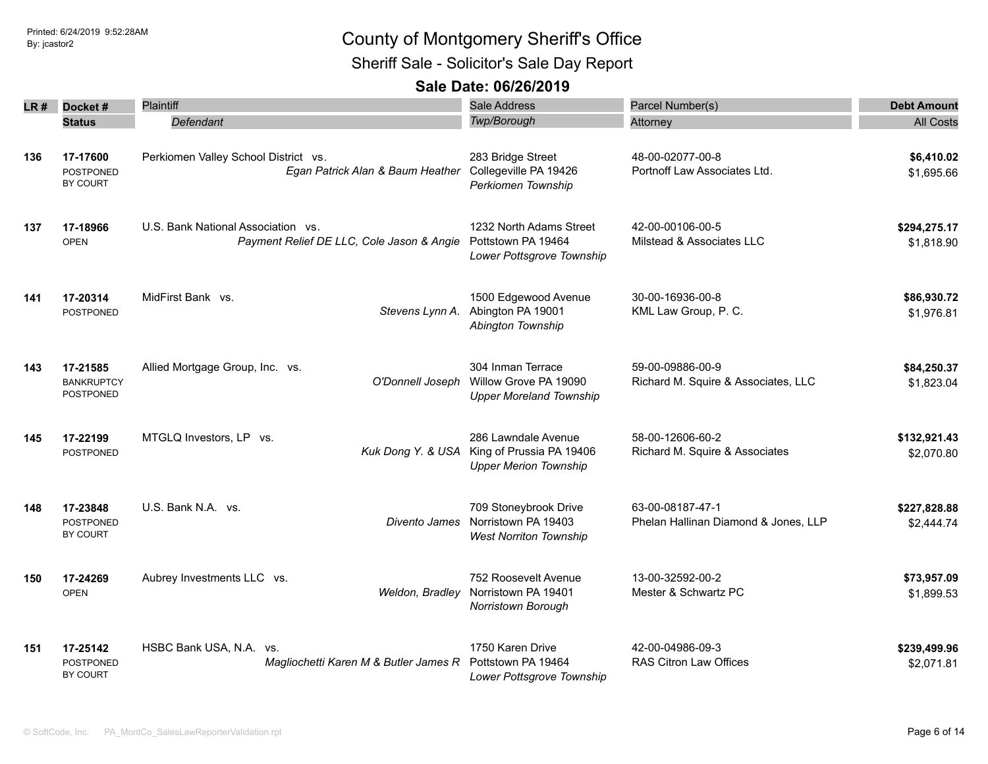Sheriff Sale - Solicitor's Sale Day Report

| LR # | Docket#                                         | Plaintiff                                                                                          | Sale Address                                                                    | Parcel Number(s)                                         | <b>Debt Amount</b>         |
|------|-------------------------------------------------|----------------------------------------------------------------------------------------------------|---------------------------------------------------------------------------------|----------------------------------------------------------|----------------------------|
|      | <b>Status</b>                                   | Defendant                                                                                          | Twp/Borough                                                                     | Attorney                                                 | <b>All Costs</b>           |
| 136  | 17-17600<br><b>POSTPONED</b><br>BY COURT        | Perkiomen Valley School District vs.<br>Egan Patrick Alan & Baum Heather                           | 283 Bridge Street<br>Collegeville PA 19426<br>Perkiomen Township                | 48-00-02077-00-8<br>Portnoff Law Associates Ltd.         | \$6,410.02<br>\$1,695.66   |
| 137  | 17-18966<br><b>OPEN</b>                         | U.S. Bank National Association vs.<br>Payment Relief DE LLC, Cole Jason & Angie Pottstown PA 19464 | 1232 North Adams Street<br>Lower Pottsgrove Township                            | 42-00-00106-00-5<br>Milstead & Associates LLC            | \$294,275.17<br>\$1,818.90 |
| 141  | 17-20314<br>POSTPONED                           | MidFirst Bank vs.<br>Stevens Lynn A.                                                               | 1500 Edgewood Avenue<br>Abington PA 19001<br>Abington Township                  | 30-00-16936-00-8<br>KML Law Group, P. C.                 | \$86,930.72<br>\$1,976.81  |
| 143  | 17-21585<br><b>BANKRUPTCY</b><br>POSTPONED      | Allied Mortgage Group, Inc. vs.<br>O'Donnell Joseph                                                | 304 Inman Terrace<br>Willow Grove PA 19090<br><b>Upper Moreland Township</b>    | 59-00-09886-00-9<br>Richard M. Squire & Associates, LLC  | \$84,250.37<br>\$1,823.04  |
| 145  | 17-22199<br><b>POSTPONED</b>                    | MTGLQ Investors, LP vs.<br>Kuk Dong Y. & USA                                                       | 286 Lawndale Avenue<br>King of Prussia PA 19406<br><b>Upper Merion Township</b> | 58-00-12606-60-2<br>Richard M. Squire & Associates       | \$132,921.43<br>\$2,070.80 |
| 148  | 17-23848<br><b>POSTPONED</b><br><b>BY COURT</b> | U.S. Bank N.A. vs.<br>Divento James                                                                | 709 Stoneybrook Drive<br>Norristown PA 19403<br><b>West Norriton Township</b>   | 63-00-08187-47-1<br>Phelan Hallinan Diamond & Jones, LLP | \$227,828.88<br>\$2,444.74 |
| 150  | 17-24269<br><b>OPEN</b>                         | Aubrey Investments LLC vs.<br>Weldon, Bradley                                                      | 752 Roosevelt Avenue<br>Norristown PA 19401<br>Norristown Borough               | 13-00-32592-00-2<br>Mester & Schwartz PC                 | \$73,957.09<br>\$1,899.53  |
| 151  | 17-25142<br><b>POSTPONED</b><br>BY COURT        | HSBC Bank USA, N.A. vs.<br>Magliochetti Karen M & Butler James R                                   | 1750 Karen Drive<br>Pottstown PA 19464<br>Lower Pottsgrove Township             | 42-00-04986-09-3<br>RAS Citron Law Offices               | \$239,499.96<br>\$2,071.81 |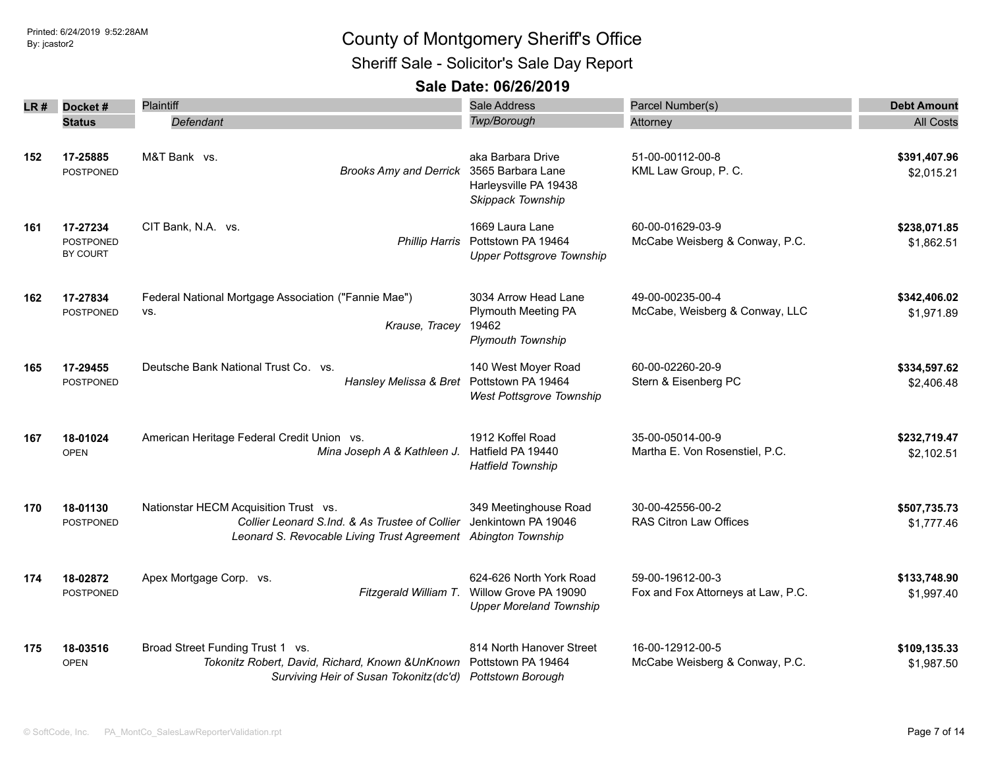Printed: 6/24/2019 9:52:28AM

## Printed: 6/24/2019 9:52:28AM **By:** jcastor2 County of Montgomery Sheriff's Office

Sheriff Sale - Solicitor's Sale Day Report

| LR # | Docket#                                  | <b>Plaintiff</b>                                                                                                                                         | Sale Address                                                                             | Parcel Number(s)                                       | <b>Debt Amount</b>         |
|------|------------------------------------------|----------------------------------------------------------------------------------------------------------------------------------------------------------|------------------------------------------------------------------------------------------|--------------------------------------------------------|----------------------------|
|      | <b>Status</b>                            | Defendant                                                                                                                                                | Twp/Borough                                                                              | Attorney                                               | <b>All Costs</b>           |
| 152  | 17-25885<br><b>POSTPONED</b>             | M&T Bank vs.<br><b>Brooks Amy and Derrick</b>                                                                                                            | aka Barbara Drive<br>3565 Barbara Lane<br>Harleysville PA 19438<br>Skippack Township     | 51-00-00112-00-8<br>KML Law Group, P. C.               | \$391,407.96<br>\$2,015.21 |
| 161  | 17-27234<br><b>POSTPONED</b><br>BY COURT | CIT Bank, N.A. vs.                                                                                                                                       | 1669 Laura Lane<br>Phillip Harris Pottstown PA 19464<br><b>Upper Pottsgrove Township</b> | 60-00-01629-03-9<br>McCabe Weisberg & Conway, P.C.     | \$238,071.85<br>\$1,862.51 |
| 162  | 17-27834<br><b>POSTPONED</b>             | Federal National Mortgage Association ("Fannie Mae")<br>VS.<br>Krause, Tracey                                                                            | 3034 Arrow Head Lane<br>Plymouth Meeting PA<br>19462<br><b>Plymouth Township</b>         | 49-00-00235-00-4<br>McCabe, Weisberg & Conway, LLC     | \$342,406.02<br>\$1,971.89 |
| 165  | 17-29455<br><b>POSTPONED</b>             | Deutsche Bank National Trust Co. vs.<br>Hansley Melissa & Bret Pottstown PA 19464                                                                        | 140 West Moyer Road<br>West Pottsgrove Township                                          | 60-00-02260-20-9<br>Stern & Eisenberg PC               | \$334,597.62<br>\$2,406.48 |
| 167  | 18-01024<br><b>OPEN</b>                  | American Heritage Federal Credit Union vs.<br>Mina Joseph A & Kathleen J.                                                                                | 1912 Koffel Road<br>Hatfield PA 19440<br><b>Hatfield Township</b>                        | 35-00-05014-00-9<br>Martha E. Von Rosenstiel, P.C.     | \$232,719.47<br>\$2,102.51 |
| 170  | 18-01130<br><b>POSTPONED</b>             | Nationstar HECM Acquisition Trust vs.<br>Collier Leonard S.Ind. & As Trustee of Collier<br>Leonard S. Revocable Living Trust Agreement Abington Township | 349 Meetinghouse Road<br>Jenkintown PA 19046                                             | 30-00-42556-00-2<br>RAS Citron Law Offices             | \$507,735.73<br>\$1,777.46 |
| 174  | 18-02872<br>POSTPONED                    | Apex Mortgage Corp. vs.<br>Fitzgerald William T.                                                                                                         | 624-626 North York Road<br>Willow Grove PA 19090<br><b>Upper Moreland Township</b>       | 59-00-19612-00-3<br>Fox and Fox Attorneys at Law, P.C. | \$133,748.90<br>\$1,997.40 |
| 175  | 18-03516<br><b>OPEN</b>                  | Broad Street Funding Trust 1 vs.<br>Tokonitz Robert, David, Richard, Known & UnKnown<br>Surviving Heir of Susan Tokonitz (dc'd) Pottstown Borough        | 814 North Hanover Street<br>Pottstown PA 19464                                           | 16-00-12912-00-5<br>McCabe Weisberg & Conway, P.C.     | \$109,135.33<br>\$1,987.50 |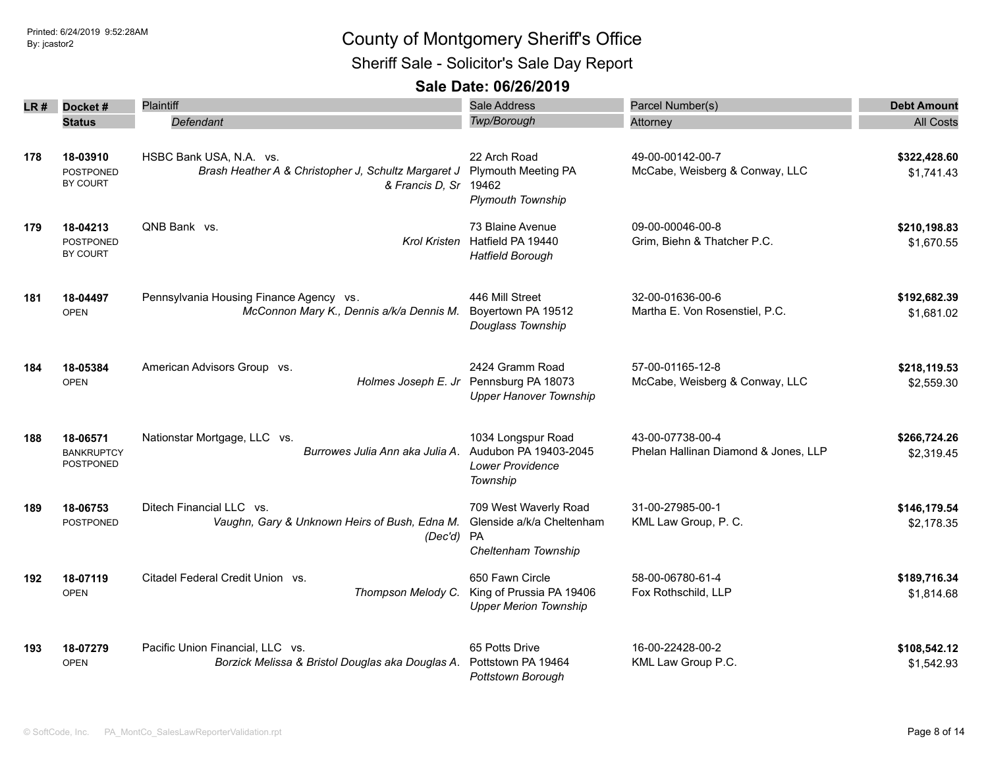Sheriff Sale - Solicitor's Sale Day Report

| LR # | Docket#                                           | Plaintiff                                                                                               | Sale Address                                                                  | Parcel Number(s)                                         | <b>Debt Amount</b>         |
|------|---------------------------------------------------|---------------------------------------------------------------------------------------------------------|-------------------------------------------------------------------------------|----------------------------------------------------------|----------------------------|
|      | <b>Status</b>                                     | Defendant                                                                                               | Twp/Borough                                                                   | Attorney                                                 | <b>All Costs</b>           |
| 178  | 18-03910<br><b>POSTPONED</b><br>BY COURT          | HSBC Bank USA, N.A. vs.<br>Brash Heather A & Christopher J, Schultz Margaret J<br>& Francis D, Sr 19462 | 22 Arch Road<br><b>Plymouth Meeting PA</b><br><b>Plymouth Township</b>        | 49-00-00142-00-7<br>McCabe, Weisberg & Conway, LLC       | \$322,428.60<br>\$1,741.43 |
| 179  | 18-04213<br><b>POSTPONED</b><br>BY COURT          | QNB Bank vs.                                                                                            | 73 Blaine Avenue<br>Krol Kristen Hatfield PA 19440<br><b>Hatfield Borough</b> | 09-00-00046-00-8<br>Grim, Biehn & Thatcher P.C.          | \$210,198.83<br>\$1,670.55 |
| 181  | 18-04497<br><b>OPEN</b>                           | Pennsylvania Housing Finance Agency vs.<br>McConnon Mary K., Dennis a/k/a Dennis M.                     | 446 Mill Street<br>Boyertown PA 19512<br>Douglass Township                    | 32-00-01636-00-6<br>Martha E. Von Rosenstiel, P.C.       | \$192,682.39<br>\$1,681.02 |
| 184  | 18-05384<br><b>OPEN</b>                           | American Advisors Group vs.<br>Holmes Joseph E. Jr                                                      | 2424 Gramm Road<br>Pennsburg PA 18073<br><b>Upper Hanover Township</b>        | 57-00-01165-12-8<br>McCabe, Weisberg & Conway, LLC       | \$218,119.53<br>\$2,559.30 |
| 188  | 18-06571<br><b>BANKRUPTCY</b><br><b>POSTPONED</b> | Nationstar Mortgage, LLC vs.<br>Burrowes Julia Ann aka Julia A.                                         | 1034 Longspur Road<br>Audubon PA 19403-2045<br>Lower Providence<br>Township   | 43-00-07738-00-4<br>Phelan Hallinan Diamond & Jones, LLP | \$266,724.26<br>\$2,319.45 |
| 189  | 18-06753<br><b>POSTPONED</b>                      | Ditech Financial LLC vs.<br>Vaughn, Gary & Unknown Heirs of Bush, Edna M.<br>(Dec'd) PA                 | 709 West Waverly Road<br>Glenside a/k/a Cheltenham<br>Cheltenham Township     | 31-00-27985-00-1<br>KML Law Group, P. C.                 | \$146,179.54<br>\$2,178.35 |
| 192  | 18-07119<br><b>OPEN</b>                           | Citadel Federal Credit Union vs.<br>Thompson Melody C.                                                  | 650 Fawn Circle<br>King of Prussia PA 19406<br><b>Upper Merion Township</b>   | 58-00-06780-61-4<br>Fox Rothschild, LLP                  | \$189,716.34<br>\$1,814.68 |
| 193  | 18-07279<br><b>OPEN</b>                           | Pacific Union Financial, LLC vs.<br>Borzick Melissa & Bristol Douglas aka Douglas A.                    | 65 Potts Drive<br>Pottstown PA 19464<br>Pottstown Borough                     | 16-00-22428-00-2<br>KML Law Group P.C.                   | \$108,542.12<br>\$1,542.93 |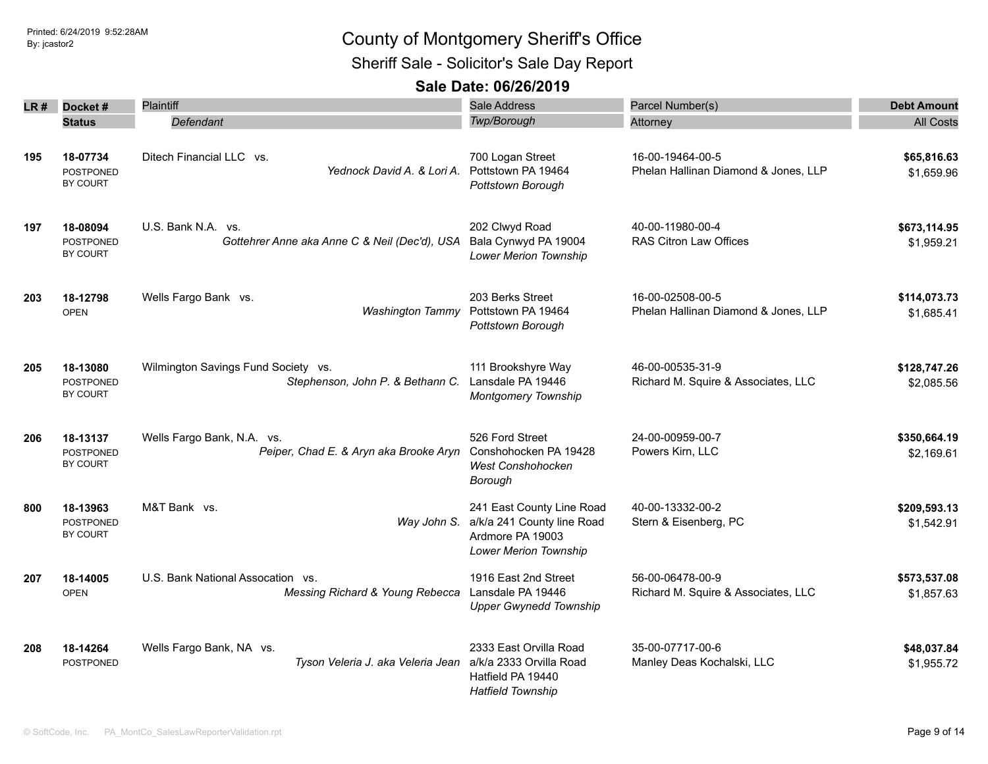Sheriff Sale - Solicitor's Sale Day Report

| LR # | Docket#<br><b>Status</b>                        | <b>Plaintiff</b><br>Defendant                                           | Sale Address<br>Twp/Borough                                                                                 | Parcel Number(s)<br>Attorney                             | <b>Debt Amount</b><br><b>All Costs</b> |
|------|-------------------------------------------------|-------------------------------------------------------------------------|-------------------------------------------------------------------------------------------------------------|----------------------------------------------------------|----------------------------------------|
| 195  | 18-07734<br><b>POSTPONED</b><br>BY COURT        | Ditech Financial LLC vs.<br>Yednock David A. & Lori A.                  | 700 Logan Street<br>Pottstown PA 19464<br>Pottstown Borough                                                 | 16-00-19464-00-5<br>Phelan Hallinan Diamond & Jones, LLP | \$65,816.63<br>\$1,659.96              |
| 197  | 18-08094<br><b>POSTPONED</b><br><b>BY COURT</b> | U.S. Bank N.A. vs.<br>Gottehrer Anne aka Anne C & Neil (Dec'd), USA     | 202 Clwyd Road<br>Bala Cynwyd PA 19004<br><b>Lower Merion Township</b>                                      | 40-00-11980-00-4<br><b>RAS Citron Law Offices</b>        | \$673,114.95<br>\$1,959.21             |
| 203  | 18-12798<br><b>OPEN</b>                         | Wells Fargo Bank vs.<br><b>Washington Tammy</b>                         | 203 Berks Street<br>Pottstown PA 19464<br>Pottstown Borough                                                 | 16-00-02508-00-5<br>Phelan Hallinan Diamond & Jones, LLP | \$114,073.73<br>\$1.685.41             |
| 205  | 18-13080<br><b>POSTPONED</b><br>BY COURT        | Wilmington Savings Fund Society vs.<br>Stephenson, John P. & Bethann C. | 111 Brookshyre Way<br>Lansdale PA 19446<br>Montgomery Township                                              | 46-00-00535-31-9<br>Richard M. Squire & Associates, LLC  | \$128,747.26<br>\$2,085.56             |
| 206  | 18-13137<br><b>POSTPONED</b><br><b>BY COURT</b> | Wells Fargo Bank, N.A. vs.<br>Peiper, Chad E. & Aryn aka Brooke Aryn    | 526 Ford Street<br>Conshohocken PA 19428<br><b>West Conshohocken</b><br>Borough                             | 24-00-00959-00-7<br>Powers Kirn, LLC                     | \$350,664.19<br>\$2,169.61             |
| 800  | 18-13963<br><b>POSTPONED</b><br><b>BY COURT</b> | M&T Bank vs.<br>Way John S.                                             | 241 East County Line Road<br>a/k/a 241 County line Road<br>Ardmore PA 19003<br><b>Lower Merion Township</b> | 40-00-13332-00-2<br>Stern & Eisenberg, PC                | \$209,593.13<br>\$1,542.91             |
| 207  | 18-14005<br><b>OPEN</b>                         | U.S. Bank National Assocation vs.<br>Messing Richard & Young Rebecca    | 1916 East 2nd Street<br>Lansdale PA 19446<br><b>Upper Gwynedd Township</b>                                  | 56-00-06478-00-9<br>Richard M. Squire & Associates, LLC  | \$573,537.08<br>\$1,857.63             |
| 208  | 18-14264<br>POSTPONED                           | Wells Fargo Bank, NA vs.<br>Tyson Veleria J. aka Veleria Jean           | 2333 East Orvilla Road<br>a/k/a 2333 Orvilla Road<br>Hatfield PA 19440<br><b>Hatfield Township</b>          | 35-00-07717-00-6<br>Manley Deas Kochalski, LLC           | \$48,037.84<br>\$1,955.72              |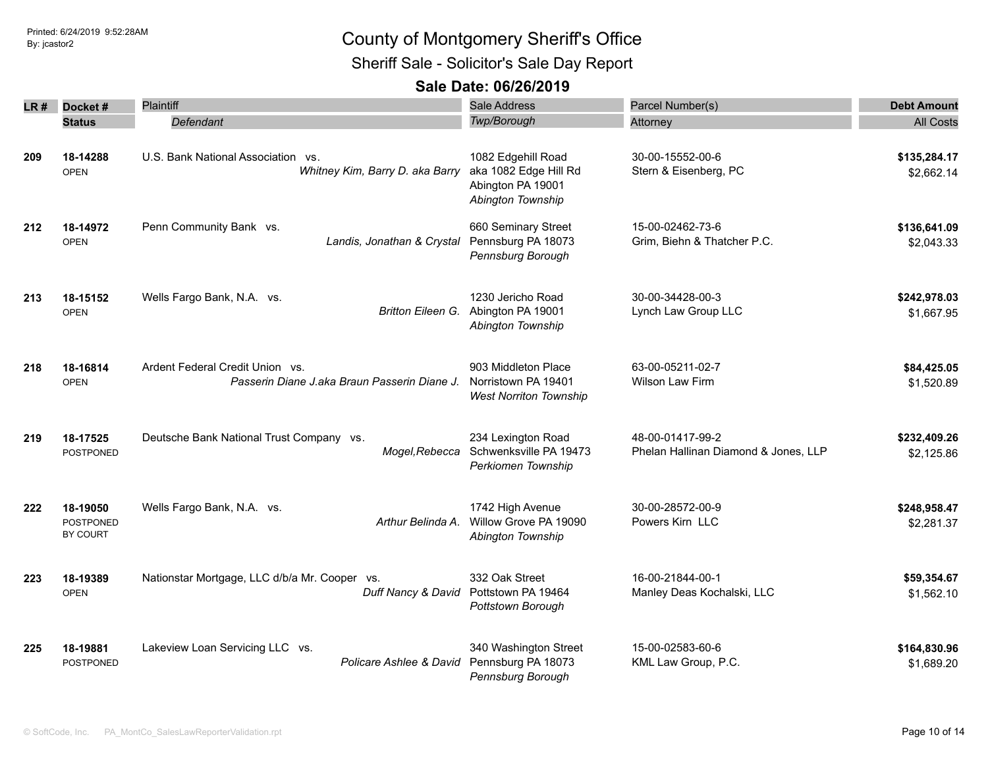Sheriff Sale - Solicitor's Sale Day Report

| LR # | Docket#                           | Plaintiff                                                                       | <b>Sale Address</b>                                                                   | Parcel Number(s)                                         | <b>Debt Amount</b>         |
|------|-----------------------------------|---------------------------------------------------------------------------------|---------------------------------------------------------------------------------------|----------------------------------------------------------|----------------------------|
|      | <b>Status</b>                     | Defendant                                                                       | Twp/Borough                                                                           | Attorney                                                 | <b>All Costs</b>           |
| 209  | 18-14288<br><b>OPEN</b>           | U.S. Bank National Association vs.<br>Whitney Kim, Barry D. aka Barry           | 1082 Edgehill Road<br>aka 1082 Edge Hill Rd<br>Abington PA 19001<br>Abington Township | 30-00-15552-00-6<br>Stern & Eisenberg, PC                | \$135,284.17<br>\$2,662.14 |
| 212  | 18-14972<br><b>OPEN</b>           | Penn Community Bank vs.<br>Landis, Jonathan & Crystal                           | 660 Seminary Street<br>Pennsburg PA 18073<br>Pennsburg Borough                        | 15-00-02462-73-6<br>Grim, Biehn & Thatcher P.C.          | \$136,641.09<br>\$2,043.33 |
| 213  | 18-15152<br><b>OPEN</b>           | Wells Fargo Bank, N.A. vs.<br><b>Britton Eileen G.</b>                          | 1230 Jericho Road<br>Abington PA 19001<br>Abington Township                           | 30-00-34428-00-3<br>Lynch Law Group LLC                  | \$242,978.03<br>\$1,667.95 |
| 218  | 18-16814<br><b>OPEN</b>           | Ardent Federal Credit Union vs.<br>Passerin Diane J.aka Braun Passerin Diane J. | 903 Middleton Place<br>Norristown PA 19401<br><b>West Norriton Township</b>           | 63-00-05211-02-7<br><b>Wilson Law Firm</b>               | \$84,425.05<br>\$1,520.89  |
| 219  | 18-17525<br>POSTPONED             | Deutsche Bank National Trust Company vs.<br>Mogel, Rebecca                      | 234 Lexington Road<br>Schwenksville PA 19473<br>Perkiomen Township                    | 48-00-01417-99-2<br>Phelan Hallinan Diamond & Jones, LLP | \$232,409.26<br>\$2,125.86 |
| 222  | 18-19050<br>POSTPONED<br>BY COURT | Wells Fargo Bank, N.A. vs.<br>Arthur Belinda A.                                 | 1742 High Avenue<br>Willow Grove PA 19090<br>Abington Township                        | 30-00-28572-00-9<br>Powers Kirn LLC                      | \$248,958.47<br>\$2,281.37 |
| 223  | 18-19389<br><b>OPEN</b>           | Nationstar Mortgage, LLC d/b/a Mr. Cooper vs.<br>Duff Nancy & David             | 332 Oak Street<br>Pottstown PA 19464<br>Pottstown Borough                             | 16-00-21844-00-1<br>Manley Deas Kochalski, LLC           | \$59,354.67<br>\$1,562.10  |
| 225  | 18-19881<br>POSTPONED             | Lakeview Loan Servicing LLC vs.<br>Policare Ashlee & David                      | 340 Washington Street<br>Pennsburg PA 18073<br>Pennsburg Borough                      | 15-00-02583-60-6<br>KML Law Group, P.C.                  | \$164,830.96<br>\$1,689.20 |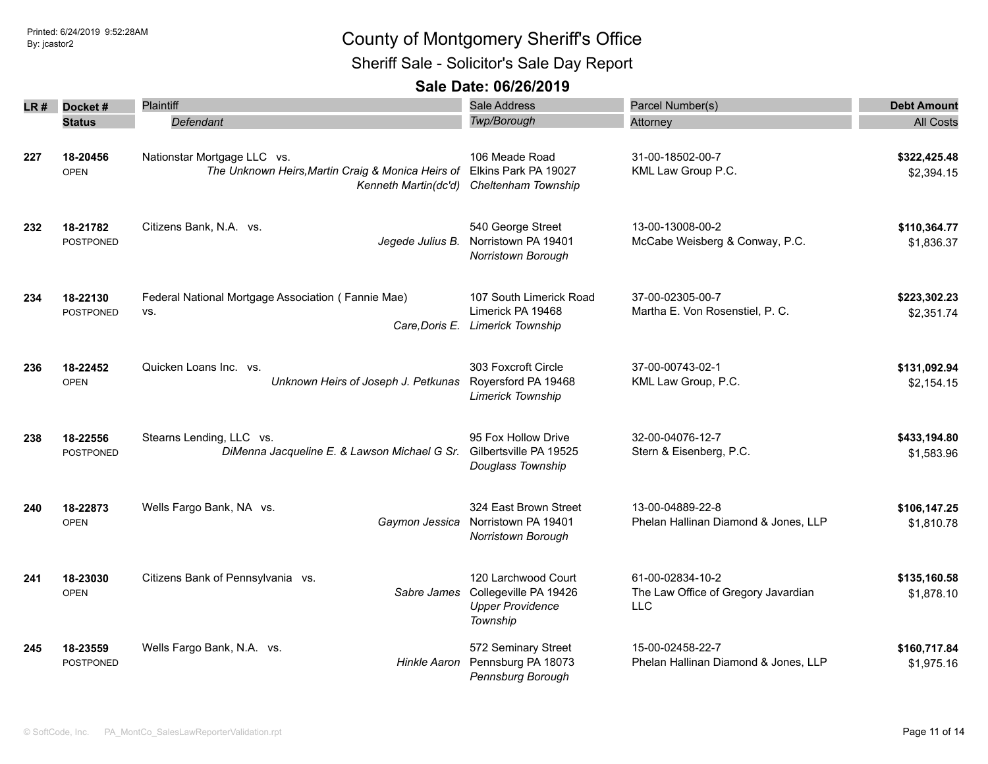Sheriff Sale - Solicitor's Sale Day Report

| LR # | Docket#                      | Plaintiff                                                                                                | <b>Sale Address</b>                                                                 | Parcel Number(s)                                                      | <b>Debt Amount</b>         |
|------|------------------------------|----------------------------------------------------------------------------------------------------------|-------------------------------------------------------------------------------------|-----------------------------------------------------------------------|----------------------------|
|      | <b>Status</b>                | Defendant                                                                                                | <b>Twp/Borough</b>                                                                  | Attorney                                                              | <b>All Costs</b>           |
| 227  | 18-20456<br><b>OPEN</b>      | Nationstar Mortgage LLC vs.<br>The Unknown Heirs, Martin Craig & Monica Heirs of<br>Kenneth Martin(dc'd) | 106 Meade Road<br>Elkins Park PA 19027<br>Cheltenham Township                       | 31-00-18502-00-7<br>KML Law Group P.C.                                | \$322,425.48<br>\$2,394.15 |
| 232  | 18-21782<br><b>POSTPONED</b> | Citizens Bank, N.A. vs.<br>Jegede Julius B.                                                              | 540 George Street<br>Norristown PA 19401<br>Norristown Borough                      | 13-00-13008-00-2<br>McCabe Weisberg & Conway, P.C.                    | \$110,364.77<br>\$1,836.37 |
| 234  | 18-22130<br><b>POSTPONED</b> | Federal National Mortgage Association (Fannie Mae)<br>VS.<br>Care, Doris E.                              | 107 South Limerick Road<br>Limerick PA 19468<br><b>Limerick Township</b>            | 37-00-02305-00-7<br>Martha E. Von Rosenstiel, P. C.                   | \$223,302.23<br>\$2,351.74 |
| 236  | 18-22452<br><b>OPEN</b>      | Quicken Loans Inc. vs.<br>Unknown Heirs of Joseph J. Petkunas                                            | 303 Foxcroft Circle<br>Royersford PA 19468<br><b>Limerick Township</b>              | 37-00-00743-02-1<br>KML Law Group, P.C.                               | \$131,092.94<br>\$2,154.15 |
| 238  | 18-22556<br><b>POSTPONED</b> | Stearns Lending, LLC vs.<br>DiMenna Jacqueline E. & Lawson Michael G Sr.                                 | 95 Fox Hollow Drive<br>Gilbertsville PA 19525<br>Douglass Township                  | 32-00-04076-12-7<br>Stern & Eisenberg, P.C.                           | \$433,194.80<br>\$1,583.96 |
| 240  | 18-22873<br><b>OPEN</b>      | Wells Fargo Bank, NA vs.<br>Gaymon Jessica                                                               | 324 East Brown Street<br>Norristown PA 19401<br>Norristown Borough                  | 13-00-04889-22-8<br>Phelan Hallinan Diamond & Jones, LLP              | \$106,147.25<br>\$1,810.78 |
| 241  | 18-23030<br><b>OPEN</b>      | Citizens Bank of Pennsylvania vs.<br>Sabre James                                                         | 120 Larchwood Court<br>Collegeville PA 19426<br><b>Upper Providence</b><br>Township | 61-00-02834-10-2<br>The Law Office of Gregory Javardian<br><b>LLC</b> | \$135,160.58<br>\$1,878.10 |
| 245  | 18-23559<br><b>POSTPONED</b> | Wells Fargo Bank, N.A. vs.<br>Hinkle Aaron                                                               | 572 Seminary Street<br>Pennsburg PA 18073<br>Pennsburg Borough                      | 15-00-02458-22-7<br>Phelan Hallinan Diamond & Jones, LLP              | \$160,717.84<br>\$1,975.16 |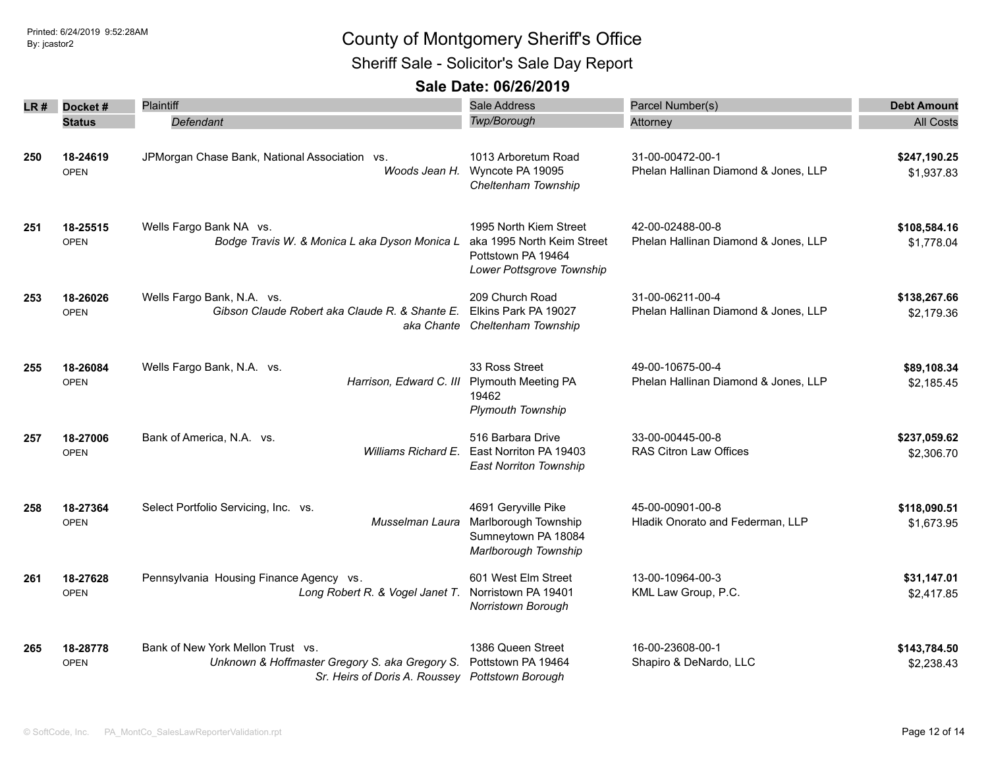Sheriff Sale - Solicitor's Sale Day Report

| LR # | Docket#                 | Plaintiff                                                                                                                              | Sale Address                                                                                            | Parcel Number(s)                                         | <b>Debt Amount</b>         |
|------|-------------------------|----------------------------------------------------------------------------------------------------------------------------------------|---------------------------------------------------------------------------------------------------------|----------------------------------------------------------|----------------------------|
|      | <b>Status</b>           | Defendant                                                                                                                              | Twp/Borough                                                                                             | Attorney                                                 | <b>All Costs</b>           |
| 250  | 18-24619<br><b>OPEN</b> | JPMorgan Chase Bank, National Association vs.<br>Woods Jean H.                                                                         | 1013 Arboretum Road<br>Wyncote PA 19095<br>Cheltenham Township                                          | 31-00-00472-00-1<br>Phelan Hallinan Diamond & Jones, LLP | \$247,190.25<br>\$1,937.83 |
| 251  | 18-25515<br><b>OPEN</b> | Wells Fargo Bank NA vs.<br>Bodge Travis W. & Monica L aka Dyson Monica L                                                               | 1995 North Kiem Street<br>aka 1995 North Keim Street<br>Pottstown PA 19464<br>Lower Pottsgrove Township | 42-00-02488-00-8<br>Phelan Hallinan Diamond & Jones, LLP | \$108,584.16<br>\$1,778.04 |
| 253  | 18-26026<br><b>OPEN</b> | Wells Fargo Bank, N.A. vs.<br>Gibson Claude Robert aka Claude R. & Shante E.<br>aka Chante                                             | 209 Church Road<br>Elkins Park PA 19027<br>Cheltenham Township                                          | 31-00-06211-00-4<br>Phelan Hallinan Diamond & Jones, LLP | \$138,267.66<br>\$2,179.36 |
| 255  | 18-26084<br><b>OPEN</b> | Wells Fargo Bank, N.A. vs.<br>Harrison, Edward C. III                                                                                  | 33 Ross Street<br><b>Plymouth Meeting PA</b><br>19462<br><b>Plymouth Township</b>                       | 49-00-10675-00-4<br>Phelan Hallinan Diamond & Jones, LLP | \$89,108.34<br>\$2,185.45  |
| 257  | 18-27006<br><b>OPEN</b> | Bank of America, N.A. vs.<br>Williams Richard E.                                                                                       | 516 Barbara Drive<br>East Norriton PA 19403<br><b>East Norriton Township</b>                            | 33-00-00445-00-8<br><b>RAS Citron Law Offices</b>        | \$237,059.62<br>\$2,306.70 |
| 258  | 18-27364<br><b>OPEN</b> | Select Portfolio Servicing, Inc. vs.<br>Musselman Laura                                                                                | 4691 Geryville Pike<br>Marlborough Township<br>Sumneytown PA 18084<br>Marlborough Township              | 45-00-00901-00-8<br>Hladik Onorato and Federman, LLP     | \$118,090.51<br>\$1,673.95 |
| 261  | 18-27628<br><b>OPEN</b> | Pennsylvania Housing Finance Agency vs.<br>Long Robert R. & Vogel Janet T. Norristown PA 19401                                         | 601 West Elm Street<br>Norristown Borough                                                               | 13-00-10964-00-3<br>KML Law Group, P.C.                  | \$31,147.01<br>\$2,417.85  |
| 265  | 18-28778<br><b>OPEN</b> | Bank of New York Mellon Trust vs.<br>Unknown & Hoffmaster Gregory S. aka Gregory S.<br>Sr. Heirs of Doris A. Roussey Pottstown Borough | 1386 Queen Street<br>Pottstown PA 19464                                                                 | 16-00-23608-00-1<br>Shapiro & DeNardo, LLC               | \$143,784.50<br>\$2,238.43 |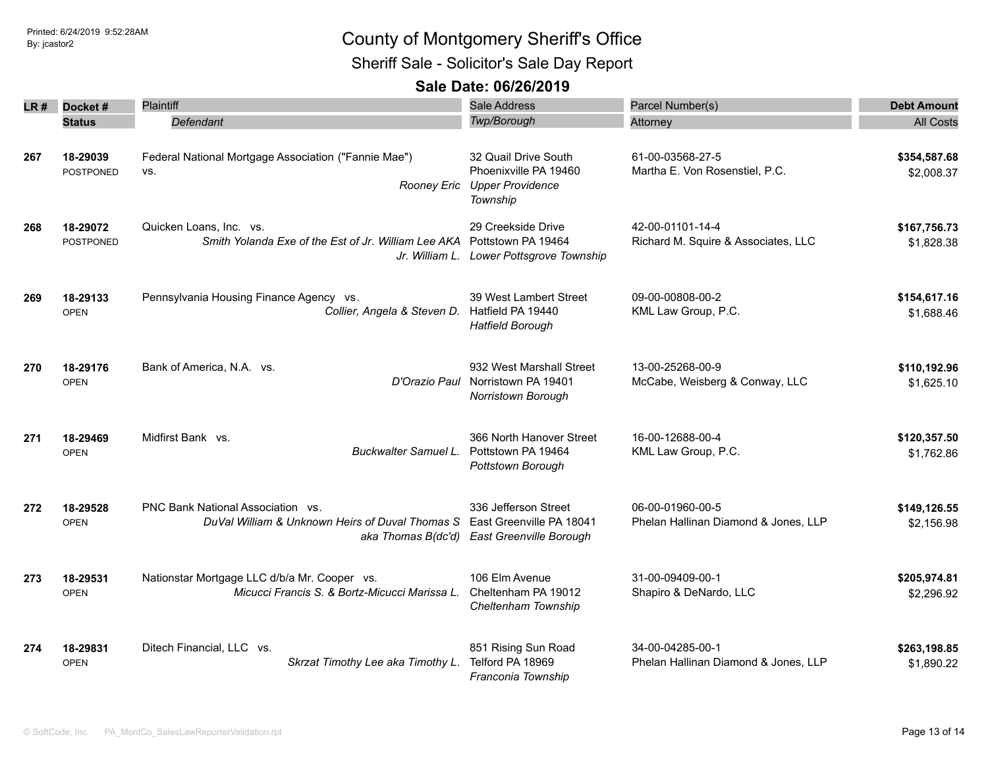### Printed: 6/24/2019 9:52:28AM **By:** jcastor2 County of Montgomery Sheriff's Office Sheriff Sale - Solicitor's Sale Day Report

| LR# | Docket#                      | Plaintiff                                                                                         | Sale Address                                                                                   | Parcel Number(s)                                         | <b>Debt Amount</b>         |
|-----|------------------------------|---------------------------------------------------------------------------------------------------|------------------------------------------------------------------------------------------------|----------------------------------------------------------|----------------------------|
|     | <b>Status</b>                | Defendant                                                                                         | Twp/Borough                                                                                    | Attorney                                                 | <b>All Costs</b>           |
| 267 | 18-29039<br><b>POSTPONED</b> | Federal National Mortgage Association ("Fannie Mae")<br>VS.                                       | 32 Quail Drive South<br>Phoenixville PA 19460<br>Rooney Eric Upper Providence<br>Township      | 61-00-03568-27-5<br>Martha E. Von Rosenstiel, P.C.       | \$354,587.68<br>\$2,008.37 |
| 268 | 18-29072<br><b>POSTPONED</b> | Quicken Loans, Inc. vs.<br>Smith Yolanda Exe of the Est of Jr. William Lee AKA Pottstown PA 19464 | 29 Creekside Drive<br>Jr. William L. Lower Pottsgrove Township                                 | 42-00-01101-14-4<br>Richard M. Squire & Associates, LLC  | \$167,756.73<br>\$1,828.38 |
| 269 | 18-29133<br><b>OPEN</b>      | Pennsylvania Housing Finance Agency vs.<br>Collier, Angela & Steven D.                            | 39 West Lambert Street<br>Hatfield PA 19440<br><b>Hatfield Borough</b>                         | 09-00-00808-00-2<br>KML Law Group, P.C.                  | \$154,617.16<br>\$1,688.46 |
| 270 | 18-29176<br><b>OPEN</b>      | Bank of America, N.A. vs.<br>D'Orazio Paul                                                        | 932 West Marshall Street<br>Norristown PA 19401<br>Norristown Borough                          | 13-00-25268-00-9<br>McCabe, Weisberg & Conway, LLC       | \$110,192.96<br>\$1,625.10 |
| 271 | 18-29469<br><b>OPEN</b>      | Midfirst Bank vs.<br>Buckwalter Samuel L.                                                         | 366 North Hanover Street<br>Pottstown PA 19464<br>Pottstown Borough                            | 16-00-12688-00-4<br>KML Law Group, P.C.                  | \$120,357.50<br>\$1,762.86 |
| 272 | 18-29528<br><b>OPEN</b>      | PNC Bank National Association vs.<br>DuVal William & Unknown Heirs of Duval Thomas S              | 336 Jefferson Street<br>East Greenville PA 18041<br>aka Thomas B(dc'd) East Greenville Borough | 06-00-01960-00-5<br>Phelan Hallinan Diamond & Jones, LLP | \$149,126.55<br>\$2,156.98 |
| 273 | 18-29531<br><b>OPEN</b>      | Nationstar Mortgage LLC d/b/a Mr. Cooper vs.<br>Micucci Francis S. & Bortz-Micucci Marissa L.     | 106 Elm Avenue<br>Cheltenham PA 19012<br>Cheltenham Township                                   | 31-00-09409-00-1<br>Shapiro & DeNardo, LLC               | \$205,974.81<br>\$2,296.92 |
| 274 | 18-29831<br><b>OPEN</b>      | Ditech Financial, LLC vs.<br>Skrzat Timothy Lee aka Timothy L.                                    | 851 Rising Sun Road<br>Telford PA 18969<br>Franconia Township                                  | 34-00-04285-00-1<br>Phelan Hallinan Diamond & Jones, LLP | \$263,198.85<br>\$1,890.22 |